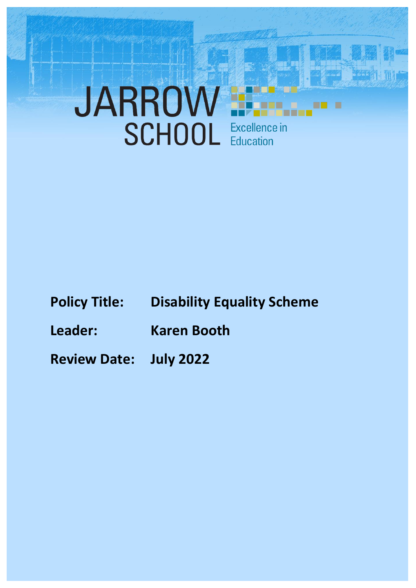# JARROW

- **Policy Title: Disability Equality Scheme**
- **Leader: Karen Booth**
- **Review Date: July 2022**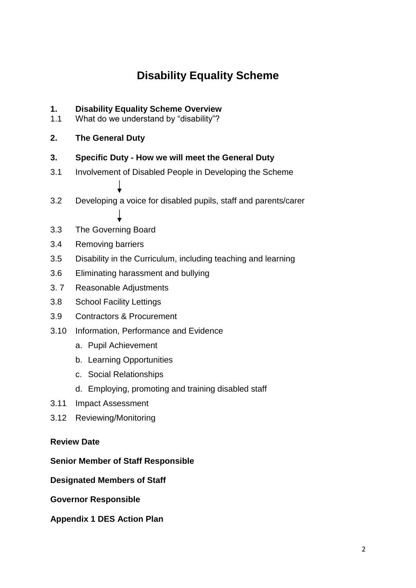## **Disability Equality Scheme**

# **1. Disability Equality Scheme Overview**<br>**1.1** What do we understand by "disability"?

What do we understand by "disability"?

#### **2. The General Duty**

- **3. Specific Duty - How we will meet the General Duty**
- 3.1 Involvement of Disabled People in Developing the Scheme
- 3.2 Developing a voice for disabled pupils, staff and parents/carer
- 3.3 The Governing Board
- 3.4 Removing barriers
- 3.5 Disability in the Curriculum, including teaching and learning
- 3.6 Eliminating harassment and bullying
- 3. 7 Reasonable Adjustments
- 3.8 School Facility Lettings
- 3.9 Contractors & Procurement
- 3.10 Information, Performance and Evidence
	- a. Pupil Achievement
	- b. Learning Opportunities
	- c. Social Relationships
	- d. Employing, promoting and training disabled staff
- 3.11 Impact Assessment
- 3.12 Reviewing/Monitoring

#### **Review Date**

#### **Senior Member of Staff Responsible**

**Designated Members of Staff**

**Governor Responsible**

**Appendix 1 DES Action Plan**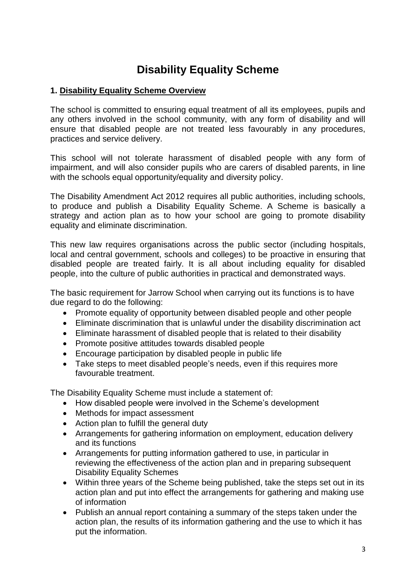### **Disability Equality Scheme**

#### **1. Disability Equality Scheme Overview**

The school is committed to ensuring equal treatment of all its employees, pupils and any others involved in the school community, with any form of disability and will ensure that disabled people are not treated less favourably in any procedures, practices and service delivery.

This school will not tolerate harassment of disabled people with any form of impairment, and will also consider pupils who are carers of disabled parents, in line with the schools equal opportunity/equality and diversity policy.

The Disability Amendment Act 2012 requires all public authorities, including schools, to produce and publish a Disability Equality Scheme. A Scheme is basically a strategy and action plan as to how your school are going to promote disability equality and eliminate discrimination.

This new law requires organisations across the public sector (including hospitals, local and central government, schools and colleges) to be proactive in ensuring that disabled people are treated fairly. It is all about including equality for disabled people, into the culture of public authorities in practical and demonstrated ways.

The basic requirement for Jarrow School when carrying out its functions is to have due regard to do the following:

- Promote equality of opportunity between disabled people and other people
- Eliminate discrimination that is unlawful under the disability discrimination act
- Eliminate harassment of disabled people that is related to their disability
- Promote positive attitudes towards disabled people
- Encourage participation by disabled people in public life
- Take steps to meet disabled people's needs, even if this requires more favourable treatment.

The Disability Equality Scheme must include a statement of:

- How disabled people were involved in the Scheme's development
- Methods for impact assessment
- Action plan to fulfill the general duty
- Arrangements for gathering information on employment, education delivery and its functions
- Arrangements for putting information gathered to use, in particular in reviewing the effectiveness of the action plan and in preparing subsequent Disability Equality Schemes
- Within three years of the Scheme being published, take the steps set out in its action plan and put into effect the arrangements for gathering and making use of information
- Publish an annual report containing a summary of the steps taken under the action plan, the results of its information gathering and the use to which it has put the information.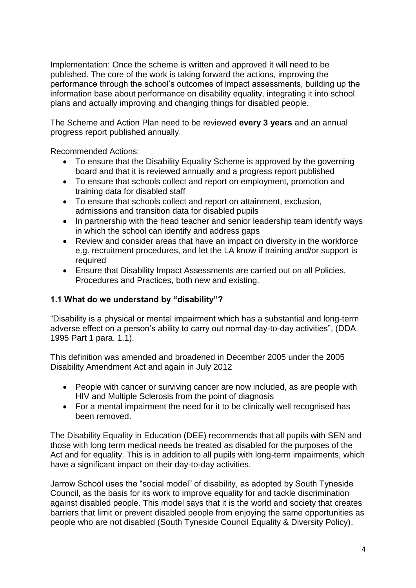Implementation: Once the scheme is written and approved it will need to be published. The core of the work is taking forward the actions, improving the performance through the school's outcomes of impact assessments, building up the information base about performance on disability equality, integrating it into school plans and actually improving and changing things for disabled people.

The Scheme and Action Plan need to be reviewed **every 3 years** and an annual progress report published annually.

Recommended Actions:

- To ensure that the Disability Equality Scheme is approved by the governing board and that it is reviewed annually and a progress report published
- To ensure that schools collect and report on employment, promotion and training data for disabled staff
- To ensure that schools collect and report on attainment, exclusion, admissions and transition data for disabled pupils
- In partnership with the head teacher and senior leadership team identify ways in which the school can identify and address gaps
- Review and consider areas that have an impact on diversity in the workforce e.g. recruitment procedures, and let the LA know if training and/or support is required
- Ensure that Disability Impact Assessments are carried out on all Policies, Procedures and Practices, both new and existing.

#### **1.1 What do we understand by "disability"?**

"Disability is a physical or mental impairment which has a substantial and long-term adverse effect on a person's ability to carry out normal day-to-day activities", (DDA 1995 Part 1 para. 1.1).

This definition was amended and broadened in December 2005 under the 2005 Disability Amendment Act and again in July 2012

- People with cancer or surviving cancer are now included, as are people with HIV and Multiple Sclerosis from the point of diagnosis
- For a mental impairment the need for it to be clinically well recognised has been removed.

The Disability Equality in Education (DEE) recommends that all pupils with SEN and those with long term medical needs be treated as disabled for the purposes of the Act and for equality. This is in addition to all pupils with long-term impairments, which have a significant impact on their day-to-day activities.

Jarrow School uses the "social model" of disability, as adopted by South Tyneside Council, as the basis for its work to improve equality for and tackle discrimination against disabled people. This model says that it is the world and society that creates barriers that limit or prevent disabled people from enjoying the same opportunities as people who are not disabled (South Tyneside Council Equality & Diversity Policy).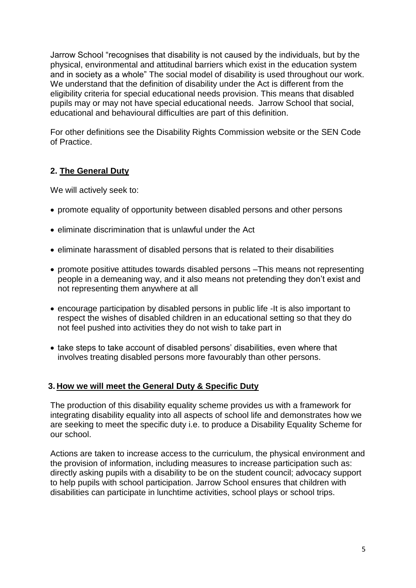Jarrow School "recognises that disability is not caused by the individuals, but by the physical, environmental and attitudinal barriers which exist in the education system and in society as a whole" The social model of disability is used throughout our work. We understand that the definition of disability under the Act is different from the eligibility criteria for special educational needs provision. This means that disabled pupils may or may not have special educational needs. Jarrow School that social, educational and behavioural difficulties are part of this definition.

For other definitions see the Disability Rights Commission website or the SEN Code of Practice.

#### **2. The General Duty**

We will actively seek to:

- promote equality of opportunity between disabled persons and other persons
- eliminate discrimination that is unlawful under the Act
- eliminate harassment of disabled persons that is related to their disabilities
- promote positive attitudes towards disabled persons –This means not representing people in a demeaning way, and it also means not pretending they don't exist and not representing them anywhere at all
- encourage participation by disabled persons in public life -It is also important to respect the wishes of disabled children in an educational setting so that they do not feel pushed into activities they do not wish to take part in
- take steps to take account of disabled persons' disabilities, even where that involves treating disabled persons more favourably than other persons.

#### **3. How we will meet the General Duty & Specific Duty**

The production of this disability equality scheme provides us with a framework for integrating disability equality into all aspects of school life and demonstrates how we are seeking to meet the specific duty i.e. to produce a Disability Equality Scheme for our school.

Actions are taken to increase access to the curriculum, the physical environment and the provision of information, including measures to increase participation such as: directly asking pupils with a disability to be on the student council; advocacy support to help pupils with school participation. Jarrow School ensures that children with disabilities can participate in lunchtime activities, school plays or school trips.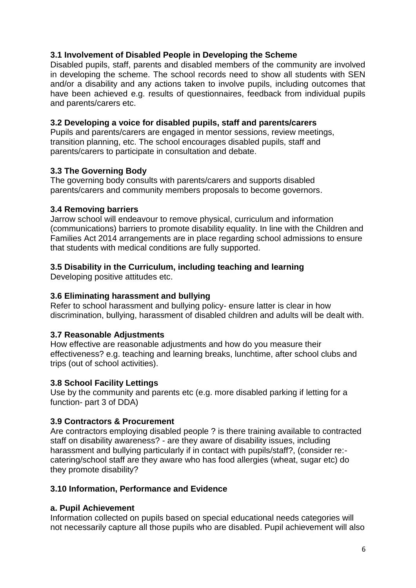#### **3.1 Involvement of Disabled People in Developing the Scheme**

Disabled pupils, staff, parents and disabled members of the community are involved in developing the scheme. The school records need to show all students with SEN and/or a disability and any actions taken to involve pupils, including outcomes that have been achieved e.g. results of questionnaires, feedback from individual pupils and parents/carers etc.

#### **3.2 Developing a voice for disabled pupils, staff and parents/carers**

Pupils and parents/carers are engaged in mentor sessions, review meetings, transition planning, etc. The school encourages disabled pupils, staff and parents/carers to participate in consultation and debate.

#### **3.3 The Governing Body**

The governing body consults with parents/carers and supports disabled parents/carers and community members proposals to become governors.

#### **3.4 Removing barriers**

Jarrow school will endeavour to remove physical, curriculum and information (communications) barriers to promote disability equality. In line with the Children and Families Act 2014 arrangements are in place regarding school admissions to ensure that students with medical conditions are fully supported.

#### **3.5 Disability in the Curriculum, including teaching and learning**

Developing positive attitudes etc.

#### **3.6 Eliminating harassment and bullying**

Refer to school harassment and bullying policy- ensure latter is clear in how discrimination, bullying, harassment of disabled children and adults will be dealt with.

#### **3.7 Reasonable Adjustments**

How effective are reasonable adjustments and how do you measure their effectiveness? e.g. teaching and learning breaks, lunchtime, after school clubs and trips (out of school activities).

#### **3.8 School Facility Lettings**

Use by the community and parents etc (e.g. more disabled parking if letting for a function- part 3 of DDA)

#### **3.9 Contractors & Procurement**

Are contractors employing disabled people ? is there training available to contracted staff on disability awareness? - are they aware of disability issues, including harassment and bullying particularly if in contact with pupils/staff?, (consider re:catering/school staff are they aware who has food allergies (wheat, sugar etc) do they promote disability?

#### **3.10 Information, Performance and Evidence**

#### **a. Pupil Achievement**

Information collected on pupils based on special educational needs categories will not necessarily capture all those pupils who are disabled. Pupil achievement will also